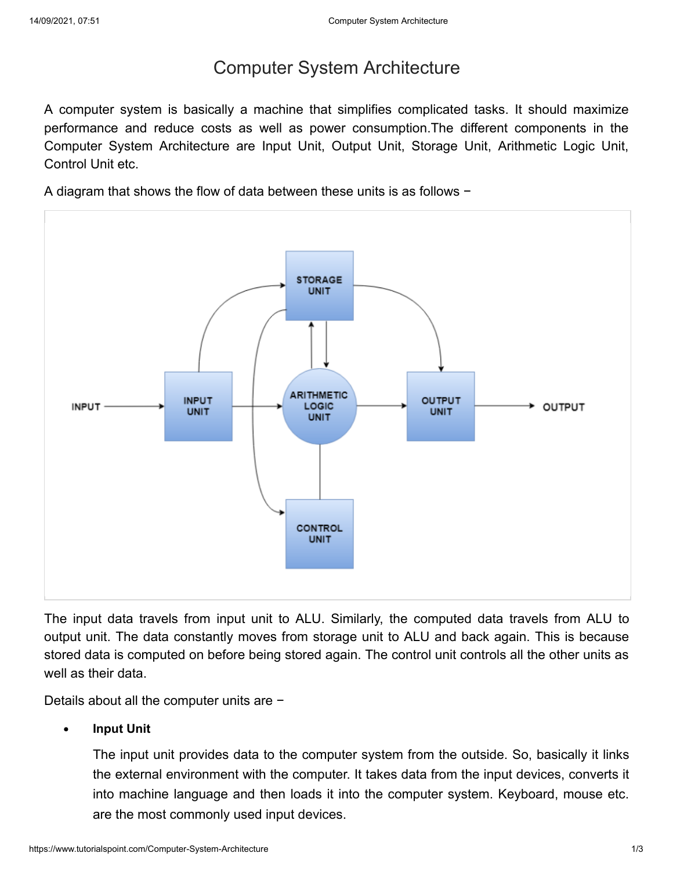# Computer System Architecture

A computer system is basically a machine that simplifies complicated tasks. It should maximize performance and reduce costs as well as power consumption.The different components in the Computer System Architecture are Input Unit, Output Unit, Storage Unit, Arithmetic Logic Unit, Control Unit etc.

A diagram that shows the flow of data between these units is as follows −



The input data travels from input unit to ALU. Similarly, the computed data travels from ALU to output unit. The data constantly moves from storage unit to ALU and back again. This is because stored data is computed on before being stored again. The control unit controls all the other units as well as their data.

Details about all the computer units are −

## **Input Unit**

The input unit provides data to the computer system from the outside. So, basically it links the external environment with the computer. It takes data from the input devices, converts it into machine language and then loads it into the computer system. Keyboard, mouse etc. are the most commonly used input devices.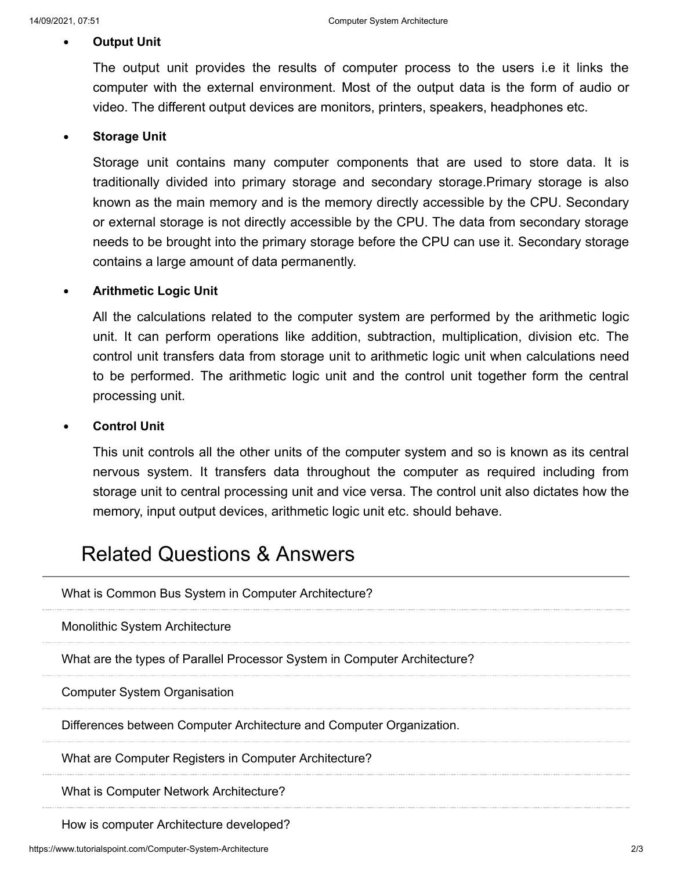### **Output Unit**

The output unit provides the results of computer process to the users i.e it links the computer with the external environment. Most of the output data is the form of audio or video. The different output devices are monitors, printers, speakers, headphones etc.

#### **Storage Unit**

Storage unit contains many computer components that are used to store data. It is traditionally divided into primary storage and secondary storage.Primary storage is also known as the main memory and is the memory directly accessible by the CPU. Secondary or external storage is not directly accessible by the CPU. The data from secondary storage needs to be brought into the primary storage before the CPU can use it. Secondary storage contains a large amount of data permanently.

### **Arithmetic Logic Unit**

All the calculations related to the computer system are performed by the arithmetic logic unit. It can perform operations like addition, subtraction, multiplication, division etc. The control unit transfers data from storage unit to arithmetic logic unit when calculations need to be performed. The arithmetic logic unit and the control unit together form the central processing unit.

#### **Control Unit**

This unit controls all the other units of the computer system and so is known as its central nervous system. It transfers data throughout the computer as required including from storage unit to central processing unit and vice versa. The control unit also dictates how the memory, input output devices, arithmetic logic unit etc. should behave.

# Related Questions & Answers

[What is Common Bus System in Computer Architecture?](https://www.tutorialspoint.com/what-is-common-bus-system-in-computer-architecture)

[Monolithic System Architecture](https://www.tutorialspoint.com/monolithic-system-architecture)

[What are the types of Parallel Processor System in Computer Architecture?](https://www.tutorialspoint.com/what-are-the-types-of-parallel-processor-system-in-computer-architecture)

[Computer System Organisation](https://www.tutorialspoint.com/Computer-System-Organisation)

[Differences between Computer Architecture and Computer Organization.](https://www.tutorialspoint.com/differences-between-computer-architecture-and-computer-organization)

[What are Computer Registers in Computer Architecture?](https://www.tutorialspoint.com/what-are-computer-registers-in-computer-architecture)

[What is Computer Network Architecture?](https://www.tutorialspoint.com/what-is-computer-network-architecture)

[How is computer Architecture developed?](https://www.tutorialspoint.com/how-is-computer-architecture-developed)